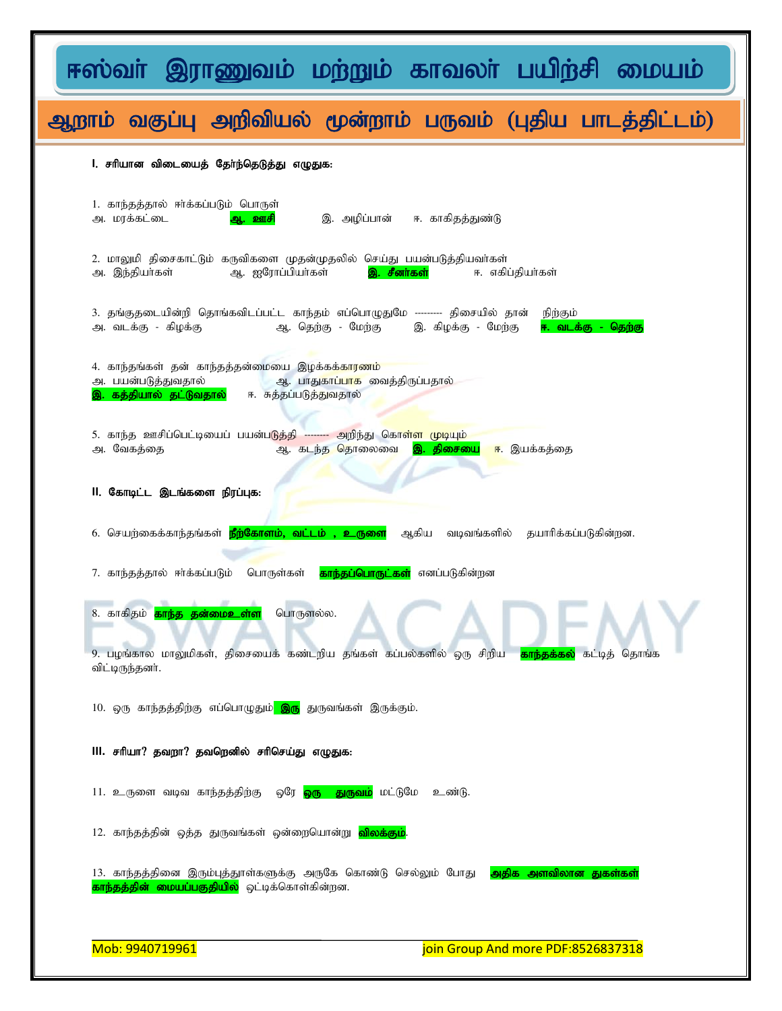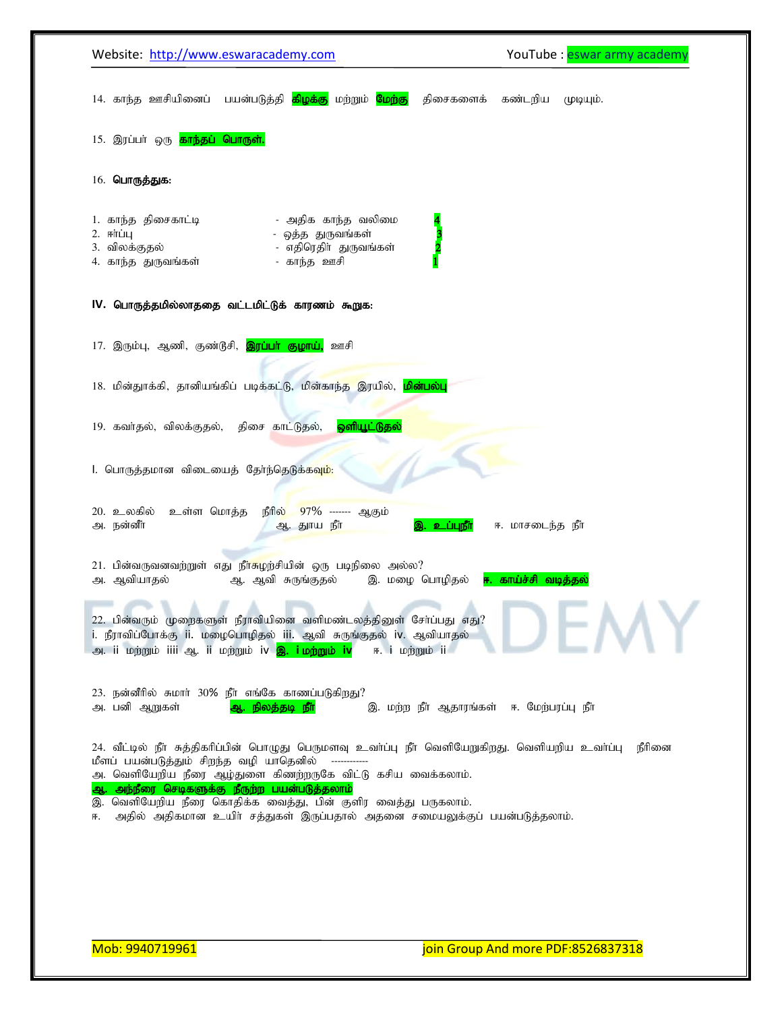|                                                                                                                                                                                                                                       | YouTube: eswar army academy |
|---------------------------------------------------------------------------------------------------------------------------------------------------------------------------------------------------------------------------------------|-----------------------------|
| 14. காந்த ஊசியினைப்  பயன்படுத்தி <mark>கிழக்கு</mark><br>மற்றும் <mark>மேற்கு</mark><br>திசைகளைக்                                                                                                                                     | கண்டறிய<br>(фіфщір.         |
| 15. இரப்பா் ஒரு <mark>காந்தப் பொருள்.</mark>                                                                                                                                                                                          |                             |
| 16. பொருத்துக:                                                                                                                                                                                                                        |                             |
| - அதிக காந்த வலிமை<br>1. காந்த திசைகாட்டி<br>$2.$ Fri $\dot{\mathbf{u}}$<br>- ஒத்த துருவங்கள்                                                                                                                                         |                             |
| 2<br>- எதிரெதிா் துருவங்கள்<br>3. விலக்குதல்                                                                                                                                                                                          |                             |
| 4. காந்த துருவங்கள்<br>- காந்த ஊசி                                                                                                                                                                                                    |                             |
| IV. பொருத்தமில்லாததை வட்டமிட்டுக் காரணம் கூறுக:                                                                                                                                                                                       |                             |
| 17. இரும்பு, ஆணி, குண்டூசி, <mark>இரப்பா் குழாய்,</mark><br>ஊசி                                                                                                                                                                       |                             |
| 18. மின்துாக்கி, தானியங்கிப் படிக்கட்டு, மின்காந்த இரயில், <mark>மின்பல்பு</mark>                                                                                                                                                     |                             |
| ஒளியூட்டுதல்<br>19. கவர்தல், விலக்குதல், திசை காட்டுதல்,                                                                                                                                                                              |                             |
|                                                                                                                                                                                                                                       |                             |
| l. பொருத்தமான விடையைத் தேர்ந்தெடுக்கவு <mark>ம்</mark> :                                                                                                                                                                              |                             |
|                                                                                                                                                                                                                                       |                             |
| உள்ள மொத்த<br>நீரில்<br>97% ------ ஆகும்<br>20. உலகில்                                                                                                                                                                                |                             |
| அ. நன்னீர்<br>ஆ. துாய நீர்<br>உப்புநீர்                                                                                                                                                                                               | ஈ. மாசடைந்த நீா்            |
| 21. பின்வருவனவற்றுள் எது நீ <mark>ர்சுழ</mark> ற்சியின் ஒரு படிநிலை அல்ல?                                                                                                                                                             |                             |
| அ. ஆவியாதல்<br>ஆ. ஆவி சுருங்குதல்<br>இ. மழை பொழிதல்                                                                                                                                                                                   | ஈ. காய்ச்சி வடித்தல்        |
|                                                                                                                                                                                                                                       |                             |
| 22. பின்வரும் முறைகளுள் நீராவியினை வளிமண்டலத்தினுள் சேர்ப்பது எது?<br>i. நீராவிப்போக்கு ii. மழைபொழிதல் iii. ஆவி சுருங்குதல் iv. ஆவியாதல்<br>அ. ii மற்றும் iiii ஆ. ii மற்றும் iv <mark>இ. iமற்றும் iv</mark><br>ஈ. <i>i</i> மற்றும் ii |                             |
| 23. நன்னீரில் சுமார் 30% நீர் எங்கே காணப்படுகிறது?<br>இ. மற்ற நீர் ஆதாரங்கள் ஈ. மேற்பரப்பு நீர்<br>அ. பனி ஆறுகள்<br>ஆ. நிலத்தடி நீா்                                                                                                  |                             |
| 24. வீட்டில் நீா சுத்திகரிப்பின் பொழுது பெருமளவு உவா்ப்பு நீா வெளியேறுகிறது. வெளியறிய உவா்ப்பு<br>மீளப் பயன்படுத்தும் சிறந்த வழி யாதெனில்                                                                                             | நீரினை                      |
| அ. வெளியேறிய நீரை ஆழ்துளை கிணற்றருகே விட்டு கசிய வைக்கலாம்.<br>அந்நீரை செடிகளுக்கு நீருற்ற பயன்படுத்தலாம்                                                                                                                             |                             |
| ஆ<br>வெளியேறிய நீரை கொதிக்க வைத்து, பின் குளிர வைத்து பருகலாம்.<br>இ.<br>அதில் அதிகமான உயிா் சத்துகள் இருப்பதால் அதனை சமையலுக்குப் பயன்படுத்தலாம்.<br>Æ.                                                                              |                             |
|                                                                                                                                                                                                                                       |                             |
|                                                                                                                                                                                                                                       |                             |
|                                                                                                                                                                                                                                       |                             |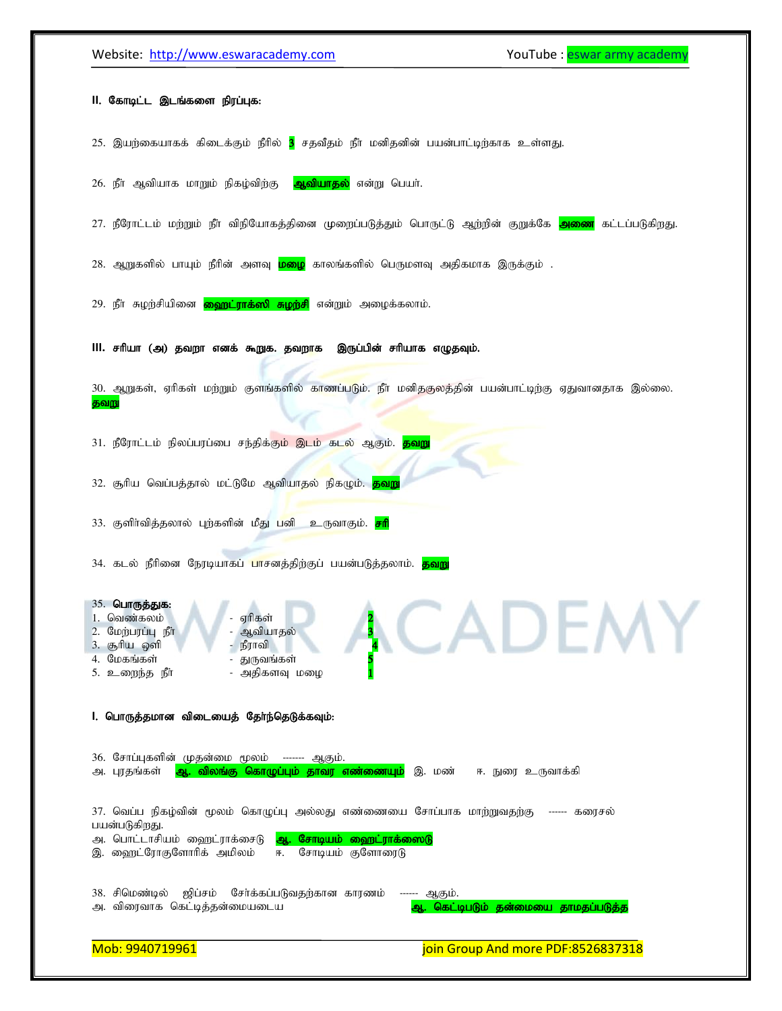## Website: http://www.eswaracademy.com variable and the YouTube : eswar army academy

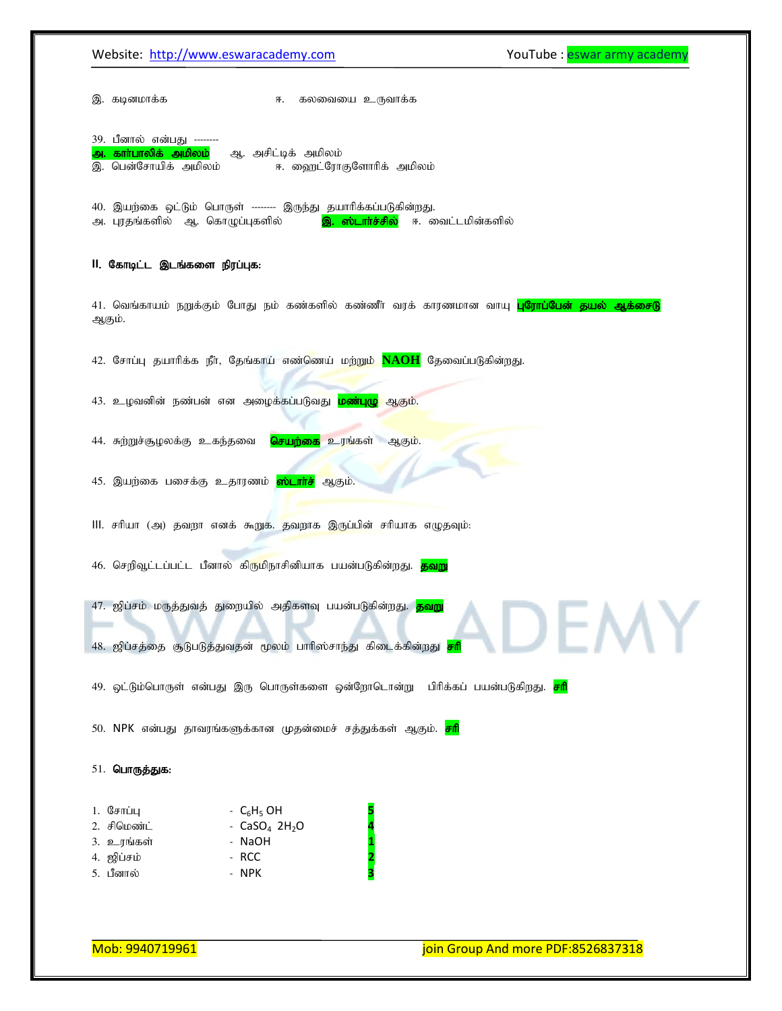|                                              | Website: http://www.eswaracademy.com                                                                                                                         | YouTube: eswar army academy                                                                              |
|----------------------------------------------|--------------------------------------------------------------------------------------------------------------------------------------------------------------|----------------------------------------------------------------------------------------------------------|
| இ. கடினமாக்க                                 | கலவையை உருவாக்க<br>厈.                                                                                                                                        |                                                                                                          |
| 39. பீனால் என்பது --------                   |                                                                                                                                                              |                                                                                                          |
| அ. காா்பாலிக் அமிலம்<br>இ. பென்சோயிக் அமிலம் | ஆ. அசிட்டிக் அமிலம்<br>ஈ. ஹைட்ரோகுளோரிக் அமிலம்                                                                                                              |                                                                                                          |
| அ. புரதங்களில் ஆ. கொழுப்புகளில்              | 40. இயற்கை ஒட்டும் பொருள் -------- இருந்து தயாரிக்கப்படுகின்றது.                                                                                             | <mark>இ. ஸ்டார்ச்சில்</mark> ஈ. வைட்டமின்களில்                                                           |
| II. கோடிட்ட இடங்களை நிரப்புக:                |                                                                                                                                                              |                                                                                                          |
| ஆகும்.                                       |                                                                                                                                                              | 41. வெங்காயம் நறுக்கும் போது நம் கண்களில் கண்ணீர் வரக் காரணமான வாயு <mark>புரோப்பேன் தயல் ஆக்சைடு</mark> |
|                                              | 42. சோப்பு தயாரிக்க நீர், தேங்காய் எண்ணெய் மற்றும் <mark>NAOH</mark> தேவைப்படுகின்றது.                                                                       |                                                                                                          |
|                                              | 43. உழவனின் நண்பன் என அழைக்கப்படுவது <mark>மண்புழு</mark> ஆகும்.                                                                                             |                                                                                                          |
| 44. சுற்றுச்சூழலக்கு உகந்தவை                 | <mark>செயற்கை</mark> உரங்கள் ஆகும்.                                                                                                                          |                                                                                                          |
|                                              | 45. இயற்கை பசைக்கு உதாரணம் <mark>ஸ்டாா்ச்</mark> ஆகும்.                                                                                                      |                                                                                                          |
|                                              | III. சரியா (அ) தவறா எனக் கூறுக. தவறாக இருப்பின் சரியாக எழுதவும்:                                                                                             |                                                                                                          |
|                                              | 46. செறிவூட்டப்பட்ட பீனால் கிருமிநாசினியாக பயன்படுகின்றது. <mark>தவறு</mark>                                                                                 |                                                                                                          |
|                                              | 47. ஜிப்சம் மருத்துவத் துறையில் அதிகளவு பயன்படுகின்றது. <mark>தவறு</mark><br>48. ஜிப்சத்தை சூடுபடுத்துவதன் மூலம் பாரிஸ்சாந்து கிடைக்கின்றது <mark>சரி</mark> |                                                                                                          |
|                                              | 49. ஒட்டும்பொருள் என்பது இரு பொருள்களை ஒன்றோடொன்று  பிரிக்கப் பயன்படுகிறது. <mark>சரி</mark>                                                                 |                                                                                                          |
|                                              | 50. NPK என்பது தாவரங்களுக்கான முதன்மைச் சத்துக்கள் ஆகும். <mark>சரி</mark>                                                                                   |                                                                                                          |
| 51. பொருத்துக:                               |                                                                                                                                                              |                                                                                                          |
| 1. $\mathbb{G}$ சாப்பு                       | - $C_6H_5$ OH                                                                                                                                                |                                                                                                          |
| 2. சிமெண்ட்                                  | - $CaSO_4$ 2H <sub>2</sub> O<br>- NaOH                                                                                                                       |                                                                                                          |
|                                              |                                                                                                                                                              |                                                                                                          |
| 3. உரங்கள்<br>4. ஜிப்சம்                     | - RCC                                                                                                                                                        |                                                                                                          |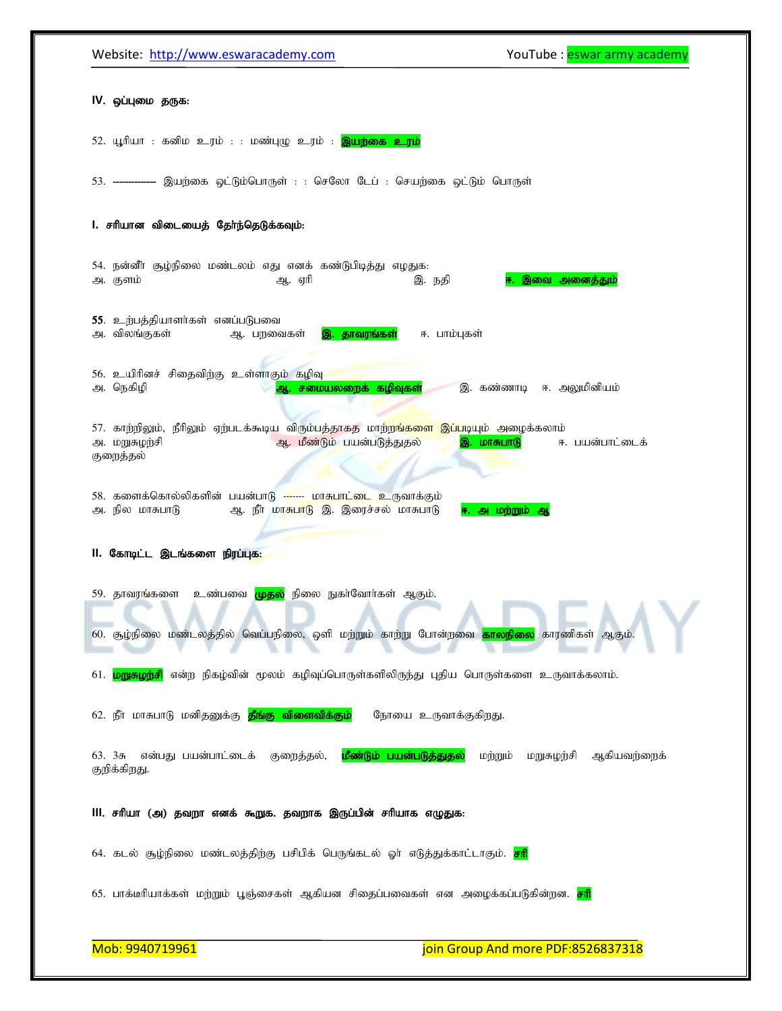| IV. ஒப்புமை தருக:<br>52. யூரியா : கனிம உரம் : : மண்புழு உரம் : <mark>இயற்கை உரம்</mark><br>53. -------------- இயற்கை ஒட்டும்பொருள் : : செலோ டேப் : செயற்கை ஒட்டும் பொருள்<br>l. சரியான விடையைத் தேர்ந்தெடுக்கவும்:<br>54. நன்னீா சூழ்நிலை மண்டலம் எது எனக் கண்டுபிடித்து எழதுக:<br>அ. குளம்<br>இ. நதி<br>ஆ. ஏரி<br>இவை அனைத்தும்<br>55. உற்பத்தியாளர்கள் எனப்படுபவை<br>அ. விலங்குகள்<br>இ. தாவரங்கள்<br>ஈ. பாம்புகள்<br>ஆ. பறவைகள்<br>56. உயிரினச் சிதைவிற்கு உள்ளாகும் கழிவு<br>ஆ. சமையலறைக் கழிவுகள்<br>அ. நெகிழி<br>இ. கண்ணாடி ஈ. அலுமினியம்<br>57. காற்றிலும், நீரிலும் ஏற்படக்கூடிய விரும்பத்தாகத மாற்ற <mark>ங்களை இப்ப</mark> டியும் அழைக்கலாம்<br>அ. மறுசுழற்சி<br>ஆ. மீண்டும் பயன்படுத்துதல்<br>இ. மாசுபாடு<br>ஈ. பயன்பாட்டைக்<br>குறைத்தல்<br>58. களைக்கொல்லிகளின் பயன்பாடு ------- மாசுபாட்டை உருவாக்கும்<br>அ. நில மாசுபாடு<br>ஆ. நீர் மாசுபாடு இ. இரைச்சல் மாசுபாடு<br>ஈ. அமற்றும் ஆ<br>II. கோடிட்ட இடங்களை நிரப்புக:<br>59. தாவரங்களை  உண்பவை <mark>முதல்</mark> நிலை நுகா்வோா்கள் ஆகும்.<br>ж.<br>60. சூழ்நிலை மண்டலத்தில் வெப்பநிலை, ஒளி மற்றும் காற்று போன்றவை <mark>காலநிலை</mark> காரணிகள் ஆகும்.<br><mark>மறுசுழற்சி</mark> என்ற நிகழ்வின் மூலம் கழிவுப்பொருள்களிலிருந்து புதிய பொருள்களை உருவாக்கலாம்.<br>61.<br>62. நீா மாசுபாடு மனிதனுக்கு <mark>தீங்கு விளைவிக்கும்</mark><br>நோயை உருவாக்குகிறது.<br>மீண்டும் பயன்படுத்துதல்<br>மற்றும்<br>ஆகியவற்றைக்<br>63.35<br>என்பது பயன்பாட்டைக்<br>குறைத்தல்,<br>மறுசுழற்சி<br>குறிக்கிறது.<br>III. சரியா (அ) தவறா எனக் கூறுக. தவறாக இருப்பின் சரியாக எழுதுக:<br>64. கடல் சூழ்நிலை மண்டலத்திற்கு பசிபிக் பெருங்கடல் ஓா் எடுத்துக்காட்டாகும். <mark>சரி</mark> | Website: http://www.eswaracademy.com | YouTube: eswar army academy |
|-------------------------------------------------------------------------------------------------------------------------------------------------------------------------------------------------------------------------------------------------------------------------------------------------------------------------------------------------------------------------------------------------------------------------------------------------------------------------------------------------------------------------------------------------------------------------------------------------------------------------------------------------------------------------------------------------------------------------------------------------------------------------------------------------------------------------------------------------------------------------------------------------------------------------------------------------------------------------------------------------------------------------------------------------------------------------------------------------------------------------------------------------------------------------------------------------------------------------------------------------------------------------------------------------------------------------------------------------------------------------------------------------------------------------------------------------------------------------------------------------------------------------------------------------------------------------------------------------------------------------------|--------------------------------------|-----------------------------|
|                                                                                                                                                                                                                                                                                                                                                                                                                                                                                                                                                                                                                                                                                                                                                                                                                                                                                                                                                                                                                                                                                                                                                                                                                                                                                                                                                                                                                                                                                                                                                                                                                               |                                      |                             |
|                                                                                                                                                                                                                                                                                                                                                                                                                                                                                                                                                                                                                                                                                                                                                                                                                                                                                                                                                                                                                                                                                                                                                                                                                                                                                                                                                                                                                                                                                                                                                                                                                               |                                      |                             |
|                                                                                                                                                                                                                                                                                                                                                                                                                                                                                                                                                                                                                                                                                                                                                                                                                                                                                                                                                                                                                                                                                                                                                                                                                                                                                                                                                                                                                                                                                                                                                                                                                               |                                      |                             |
|                                                                                                                                                                                                                                                                                                                                                                                                                                                                                                                                                                                                                                                                                                                                                                                                                                                                                                                                                                                                                                                                                                                                                                                                                                                                                                                                                                                                                                                                                                                                                                                                                               |                                      |                             |
|                                                                                                                                                                                                                                                                                                                                                                                                                                                                                                                                                                                                                                                                                                                                                                                                                                                                                                                                                                                                                                                                                                                                                                                                                                                                                                                                                                                                                                                                                                                                                                                                                               |                                      |                             |
|                                                                                                                                                                                                                                                                                                                                                                                                                                                                                                                                                                                                                                                                                                                                                                                                                                                                                                                                                                                                                                                                                                                                                                                                                                                                                                                                                                                                                                                                                                                                                                                                                               |                                      |                             |
|                                                                                                                                                                                                                                                                                                                                                                                                                                                                                                                                                                                                                                                                                                                                                                                                                                                                                                                                                                                                                                                                                                                                                                                                                                                                                                                                                                                                                                                                                                                                                                                                                               |                                      |                             |
|                                                                                                                                                                                                                                                                                                                                                                                                                                                                                                                                                                                                                                                                                                                                                                                                                                                                                                                                                                                                                                                                                                                                                                                                                                                                                                                                                                                                                                                                                                                                                                                                                               |                                      |                             |
|                                                                                                                                                                                                                                                                                                                                                                                                                                                                                                                                                                                                                                                                                                                                                                                                                                                                                                                                                                                                                                                                                                                                                                                                                                                                                                                                                                                                                                                                                                                                                                                                                               |                                      |                             |
|                                                                                                                                                                                                                                                                                                                                                                                                                                                                                                                                                                                                                                                                                                                                                                                                                                                                                                                                                                                                                                                                                                                                                                                                                                                                                                                                                                                                                                                                                                                                                                                                                               |                                      |                             |
|                                                                                                                                                                                                                                                                                                                                                                                                                                                                                                                                                                                                                                                                                                                                                                                                                                                                                                                                                                                                                                                                                                                                                                                                                                                                                                                                                                                                                                                                                                                                                                                                                               |                                      |                             |
|                                                                                                                                                                                                                                                                                                                                                                                                                                                                                                                                                                                                                                                                                                                                                                                                                                                                                                                                                                                                                                                                                                                                                                                                                                                                                                                                                                                                                                                                                                                                                                                                                               |                                      |                             |
|                                                                                                                                                                                                                                                                                                                                                                                                                                                                                                                                                                                                                                                                                                                                                                                                                                                                                                                                                                                                                                                                                                                                                                                                                                                                                                                                                                                                                                                                                                                                                                                                                               |                                      |                             |
|                                                                                                                                                                                                                                                                                                                                                                                                                                                                                                                                                                                                                                                                                                                                                                                                                                                                                                                                                                                                                                                                                                                                                                                                                                                                                                                                                                                                                                                                                                                                                                                                                               |                                      |                             |
|                                                                                                                                                                                                                                                                                                                                                                                                                                                                                                                                                                                                                                                                                                                                                                                                                                                                                                                                                                                                                                                                                                                                                                                                                                                                                                                                                                                                                                                                                                                                                                                                                               |                                      |                             |
|                                                                                                                                                                                                                                                                                                                                                                                                                                                                                                                                                                                                                                                                                                                                                                                                                                                                                                                                                                                                                                                                                                                                                                                                                                                                                                                                                                                                                                                                                                                                                                                                                               |                                      |                             |
| 65. பாக்டீரியாக்கள் மற்றும் பூஞ்சைகள் ஆகியன சிதைப்பவைகள் என அழைக்கப்படுகின்றன. <mark>சரி</mark>                                                                                                                                                                                                                                                                                                                                                                                                                                                                                                                                                                                                                                                                                                                                                                                                                                                                                                                                                                                                                                                                                                                                                                                                                                                                                                                                                                                                                                                                                                                               |                                      |                             |
| Mob: 9940719961<br>join Group And more PDF:8526837318                                                                                                                                                                                                                                                                                                                                                                                                                                                                                                                                                                                                                                                                                                                                                                                                                                                                                                                                                                                                                                                                                                                                                                                                                                                                                                                                                                                                                                                                                                                                                                         |                                      |                             |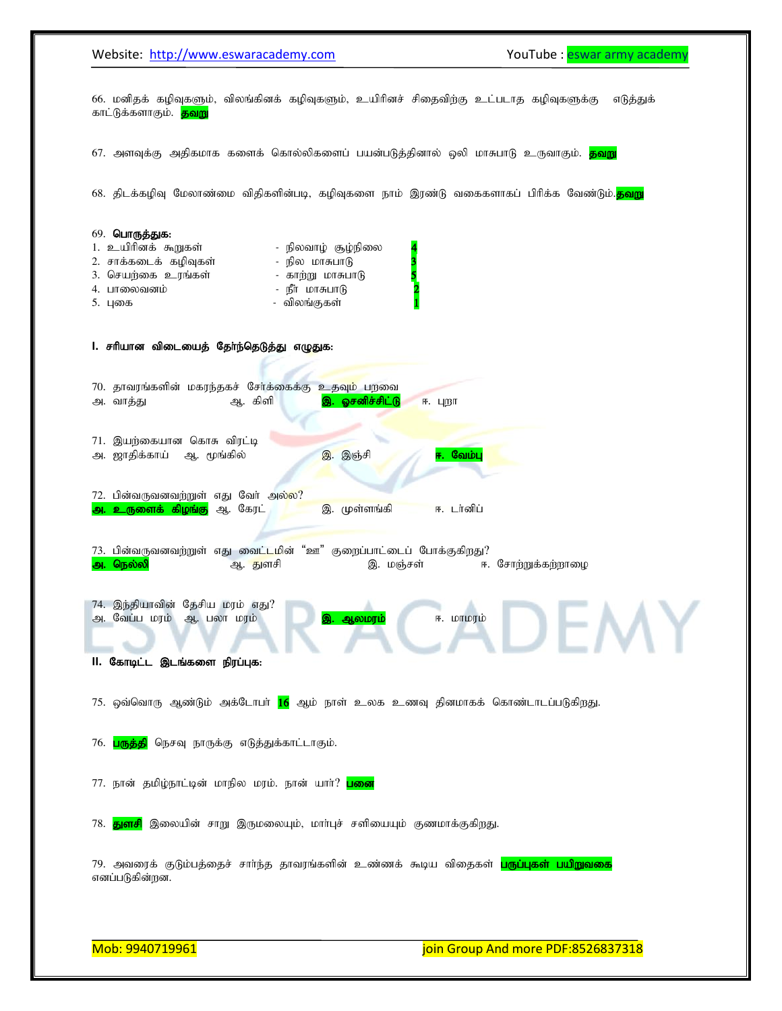Website: http://www.eswaracademy.com example and the YouTube : eswar army academy İ 66. மனிதக் கழிவுகளும், விலங்கினக் கழிவுகளும், உயிரினச் சிதைவிற்கு உட்படாத கழிவுகளுக்கு எடுத்துக் காட்டுக்களாகும். <mark>தவறு</mark> 67. அளவுக்கு அதிகமாக களைக் கொல்லிகளைப் பயன்படுத்தினால் ஒலி மாசுபாடு உருவாகும். <mark>தவறு</mark> 68. திடக்கழிவு மேலாண்மை விதிகளின்படி, கழிவுகளை நாம் இரண்டு வகைகளாகப் பிரிக்க வேண்டும்.<mark>தவறு</mark> 69. **பொருத்துக:** 1. உயிரினக் கூறுகள் நிலவாழ் சூழ்நிலை 2. சாக்கடைக் கழிவுகள் நில மாசுபாடு <mark>3</mark> 3. nraw ;if cuq;fs; - fhw ;W khRghL 5 4. ghiytdk; - ePh; khRghL 2 5. Gif - tpyq;Ffs; 1 1. சரியான விடையைத் தேர்ந்தெடுத்து எழுதுக: 70. தாவரங்களின் மகரந்தகச் சேர்க்கைக்கு உதவும் பறவை m. thj;J M. fpsp ,. Xrdpr ;rpl ;L <. Gwh 71. இயற்கையான கொசு விரட்டி அ. ஜாதிக்காய் ஆ. மூங்கில் <mark>இ.</mark> இஞ்சி <mark>ஈ. வேம்ப</mark>ு 72. பின்வருவனவற்றுள் எது வேர் அல்ல? <mark>அ. உருளைக் கிழங்கு</mark> ஆ. கேரட் <mark>, டெ. இ. முள்ளங்கி , ட</mark>ை. டானிப் 73. பின்வருவனவற்றுள் எது வைட்டமின் "ஊ" குறைப்பாட்டைப் போக்குகிறது? m. ney;yp M. Jsrp ,. kQ;rs; <. Nrhw;Wf ;fw;whio 74. இந்தியாவின் தேசிய மரம் எது? அ. வேப்ப மரம் ஆ. பலா மரம் <mark>இ. ஆலமரம்</mark> ஈ. மாமரம் **II. கோடிட்ட இடங்களை நிரப்புக:** 75. ஒவ்வொரு ஆண்டும் அக்டோபா் <mark>16</mark> ஆம் நாள் உலக உணவு தினமாகக் கொண்டாடப்படுகிறது. 76. <mark>பருத்தி</mark> நெசவு நாருக்கு எடுத்துக்காட்டாகும். 77. நான் தமிழ்நாட்டின் மாநில மரம். நான் யாா்? <mark>பனை</mark> 78. <mark>துளசி</mark> இலையின் சாறு இருமலையும், மாா்புச் சளியையும் குணமாக்குகிறது. 79. அவரைக் குடும்பத்தைச் சாா்ந்த தாவரங்களின் உண்ணக் கூடிய விதைகள் <mark>பருப்புகள் பயிறுவகை</mark> எனப்படுகின்றன.

Mob: 9940719961 join Group And more PDF:8526837318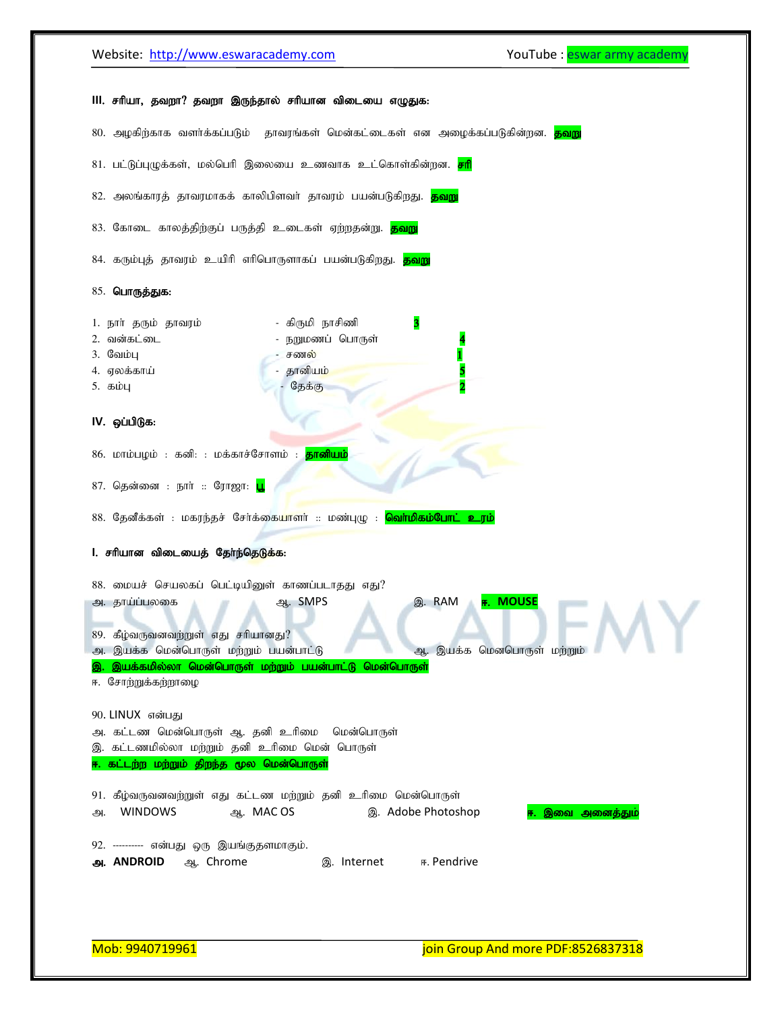